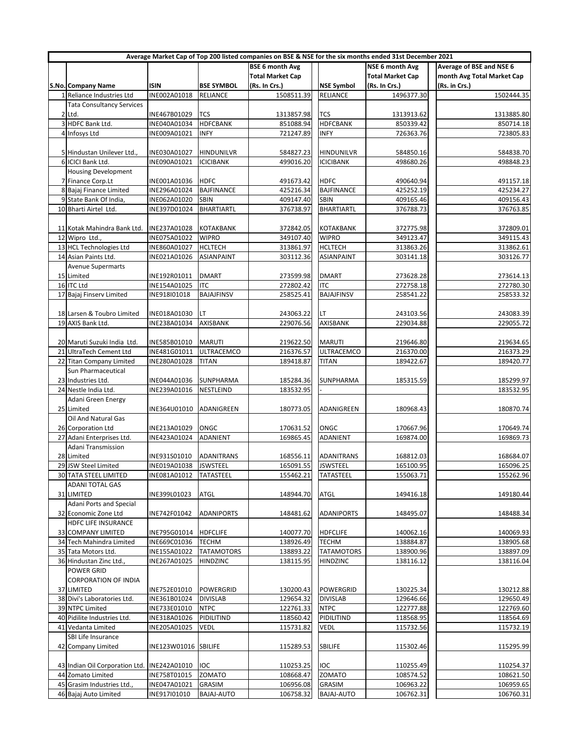| Average Market Cap of Top 200 listed companies on BSE & NSE for the six months ended 31st December 2021 |                      |                   |                         |                   |                         |                            |  |
|---------------------------------------------------------------------------------------------------------|----------------------|-------------------|-------------------------|-------------------|-------------------------|----------------------------|--|
|                                                                                                         |                      |                   | <b>BSE 6 month Avg</b>  |                   | <b>NSE 6 month Avg</b>  | Average of BSE and NSE 6   |  |
|                                                                                                         |                      |                   | <b>Total Market Cap</b> |                   | <b>Total Market Cap</b> | month Avg Total Market Cap |  |
| <b>S.No. Company Name</b>                                                                               | <b>ISIN</b>          | <b>BSE SYMBOL</b> | (Rs. In Crs.)           | <b>NSE Symbol</b> | (Rs. In Crs.)           | (Rs. in Crs.)              |  |
| 1 Reliance Industries Ltd                                                                               | INE002A01018         | RELIANCE          | 1508511.39              | <b>RELIANCE</b>   | 1496377.30              | 1502444.35                 |  |
| <b>Tata Consultancy Services</b>                                                                        |                      |                   |                         |                   |                         |                            |  |
|                                                                                                         |                      |                   |                         |                   |                         |                            |  |
| 2 Ltd.                                                                                                  | INE467B01029         | TCS               | 1313857.98              | TCS               | 1313913.62              | 1313885.80                 |  |
| 3 HDFC Bank Ltd.                                                                                        | INE040A01034         | <b>HDFCBANK</b>   | 851088.94               | <b>HDFCBANK</b>   | 850339.42               | 850714.18                  |  |
| 4 Infosys Ltd                                                                                           | INE009A01021         | <b>INFY</b>       | 721247.89               | <b>INFY</b>       | 726363.76               | 723805.83                  |  |
|                                                                                                         |                      |                   |                         |                   |                         |                            |  |
| 5 Hindustan Unilever Ltd.,                                                                              | INE030A01027         | HINDUNILVR        | 584827.23               | <b>HINDUNILVR</b> | 584850.16               | 584838.70                  |  |
| 6 ICICI Bank Ltd.                                                                                       | INE090A01021         | <b>ICICIBANK</b>  | 499016.20               | <b>ICICIBANK</b>  | 498680.26               | 498848.23                  |  |
| <b>Housing Development</b>                                                                              |                      |                   |                         |                   |                         |                            |  |
| 7 Finance Corp.Lt                                                                                       | INE001A01036         | <b>HDFC</b>       | 491673.42               | <b>HDFC</b>       | 490640.94               | 491157.18                  |  |
|                                                                                                         |                      |                   |                         |                   |                         |                            |  |
| 8 Bajaj Finance Limited                                                                                 | INE296A01024         | <b>BAJFINANCE</b> | 425216.34               | <b>BAJFINANCE</b> | 425252.19               | 425234.27                  |  |
| 9 State Bank Of India,                                                                                  | INE062A01020         | SBIN              | 409147.40               | <b>SBIN</b>       | 409165.46               | 409156.43                  |  |
| 10 Bharti Airtel Ltd.                                                                                   | INE397D01024         | <b>BHARTIARTL</b> | 376738.97               | <b>BHARTIARTL</b> | 376788.73               | 376763.85                  |  |
|                                                                                                         |                      |                   |                         |                   |                         |                            |  |
| 11 Kotak Mahindra Bank Ltd.                                                                             | INE237A01028         | KOTAKBANK         | 372842.05               | KOTAKBANK         | 372775.98               | 372809.01                  |  |
| 12 Wipro Ltd.,                                                                                          | INE075A01022         | <b>WIPRO</b>      | 349107.40               | <b>WIPRO</b>      | 349123.47               | 349115.43                  |  |
| 13 HCL Technologies Ltd                                                                                 | INE860A01027         | <b>HCLTECH</b>    | 313861.97               | <b>HCLTECH</b>    | 313863.26               | 313862.61                  |  |
| 14 Asian Paints Ltd.                                                                                    | INE021A01026         | <b>ASIANPAINT</b> | 303112.36               | ASIANPAINT        | 303141.18               | 303126.77                  |  |
| <b>Avenue Supermarts</b>                                                                                |                      |                   |                         |                   |                         |                            |  |
|                                                                                                         |                      |                   |                         |                   |                         |                            |  |
| 15 Limited                                                                                              | INE192R01011         | <b>DMART</b>      | 273599.98               | <b>DMART</b>      | 273628.28               | 273614.13                  |  |
| 16 ITC Ltd                                                                                              | INE154A01025         | <b>ITC</b>        | 272802.42               | <b>ITC</b>        | 272758.18               | 272780.30                  |  |
| 17 Bajaj Finserv Limited                                                                                | INE918I01018         | <b>BAJAJFINSV</b> | 258525.41               | <b>BAJAJFINSV</b> | 258541.22               | 258533.32                  |  |
|                                                                                                         |                      |                   |                         |                   |                         |                            |  |
| 18 Larsen & Toubro Limited                                                                              | INE018A01030         | LΤ                | 243063.22               | LT                | 243103.56               | 243083.39                  |  |
| 19 AXIS Bank Ltd.                                                                                       | INE238A01034         | AXISBANK          | 229076.56               | AXISBANK          | 229034.88               | 229055.72                  |  |
|                                                                                                         |                      |                   |                         |                   |                         |                            |  |
| 20 Maruti Suzuki India Ltd.                                                                             | INE585B01010         | <b>MARUTI</b>     | 219622.50               | <b>MARUTI</b>     | 219646.80               | 219634.65                  |  |
| 21 UltraTech Cement Ltd                                                                                 |                      |                   |                         |                   | 216370.00               | 216373.29                  |  |
|                                                                                                         | INE481G01011         | ULTRACEMCO        | 216376.57               | <b>ULTRACEMCO</b> |                         |                            |  |
| 22 Titan Company Limited                                                                                | INE280A01028         | <b>TITAN</b>      | 189418.87               | <b>TITAN</b>      | 189422.67               | 189420.77                  |  |
| Sun Pharmaceutical                                                                                      |                      |                   |                         |                   |                         |                            |  |
| 23 Industries Ltd.                                                                                      | INE044A01036         | SUNPHARMA         | 185284.36               | SUNPHARMA         | 185315.59               | 185299.97                  |  |
| 24 Nestle India Ltd.                                                                                    | INE239A01016         | NESTLEIND         | 183532.95               |                   |                         | 183532.95                  |  |
| Adani Green Energy                                                                                      |                      |                   |                         |                   |                         |                            |  |
| 25 Limited                                                                                              | INE364U01010         | ADANIGREEN        | 180773.05               | ADANIGREEN        | 180968.43               | 180870.74                  |  |
| Oil And Natural Gas                                                                                     |                      |                   |                         |                   |                         |                            |  |
| 26 Corporation Ltd                                                                                      | INE213A01029         | ONGC              | 170631.52               |                   |                         |                            |  |
|                                                                                                         |                      |                   |                         | ONGC              | 170667.96               | 170649.74                  |  |
| 27 Adani Enterprises Ltd.                                                                               | INE423A01024         | ADANIENT          | 169865.45               | ADANIENT          | 169874.00               | 169869.73                  |  |
| Adani Transmission                                                                                      |                      |                   |                         |                   |                         |                            |  |
| 28 Limited                                                                                              | INE931S01010         | ADANITRANS        | 168556.11               | <b>ADANITRANS</b> | 168812.03               | 168684.07                  |  |
| 29 JSW Steel Limited                                                                                    | INE019A01038         | <b>JSWSTEEL</b>   | 165091.55               | <b>JSWSTEEL</b>   | 165100.95               | 165096.25                  |  |
| <b>30 TATA STEEL LIMITED</b>                                                                            | INE081A01012         | <b>TATASTEEL</b>  | 155462.21               | <b>TATASTEEL</b>  | 155063.71               | 155262.96                  |  |
| <b>ADANI TOTAL GAS</b>                                                                                  |                      |                   |                         |                   |                         |                            |  |
| 31 LIMITED                                                                                              | INE399L01023         | ATGL              | 148944.70               | ATGL              | 149416.18               | 149180.44                  |  |
| <b>Adani Ports and Special</b>                                                                          |                      |                   |                         |                   |                         |                            |  |
|                                                                                                         |                      | <b>ADANIPORTS</b> |                         |                   |                         |                            |  |
| 32 Economic Zone Ltd                                                                                    | INE742F01042         |                   | 148481.62               | ADANIPORTS        | 148495.07               | 148488.34                  |  |
| HDFC LIFE INSURANCE                                                                                     |                      |                   |                         |                   |                         |                            |  |
| 33 COMPANY LIMITED                                                                                      | INE795G01014         | <b>HDFCLIFE</b>   | 140077.70               | <b>HDFCLIFE</b>   | 140062.16               | 140069.93                  |  |
| 34 Tech Mahindra Limited                                                                                | INE669C01036         | <b>TECHM</b>      | 138926.49               | <b>TECHM</b>      | 138884.87               | 138905.68                  |  |
| 35 Tata Motors Ltd.                                                                                     | INE155A01022         | <b>TATAMOTORS</b> | 138893.22               | <b>TATAMOTORS</b> | 138900.96               | 138897.09                  |  |
| 36 Hindustan Zinc Ltd.,                                                                                 | INE267A01025         | <b>HINDZINC</b>   | 138115.95               | HINDZINC          | 138116.12               | 138116.04                  |  |
| <b>POWER GRID</b>                                                                                       |                      |                   |                         |                   |                         |                            |  |
| <b>CORPORATION OF INDIA</b>                                                                             |                      |                   |                         |                   |                         |                            |  |
| 37 LIMITED                                                                                              | INE752E01010         | POWERGRID         | 130200.43               | <b>POWERGRID</b>  | 130225.34               | 130212.88                  |  |
|                                                                                                         |                      |                   |                         |                   |                         |                            |  |
| 38 Divi's Laboratories Ltd.                                                                             | INE361B01024         | <b>DIVISLAB</b>   | 129654.32               | <b>DIVISLAB</b>   | 129646.66               | 129650.49                  |  |
| 39 NTPC Limited                                                                                         | INE733E01010         | <b>NTPC</b>       | 122761.33               | <b>NTPC</b>       | 122777.88               | 122769.60                  |  |
| 40 Pidilite Industries Ltd.                                                                             | INE318A01026         | PIDILITIND        | 118560.42               | PIDILITIND        | 118568.95               | 118564.69                  |  |
| 41 Vedanta Limited                                                                                      | INE205A01025         | VEDL              | 115731.82               | VEDL              | 115732.56               | 115732.19                  |  |
| SBI Life Insurance                                                                                      |                      |                   |                         |                   |                         |                            |  |
| 42 Company Limited                                                                                      | INE123W01016 SBILIFE |                   | 115289.53               | SBILIFE           | 115302.46               | 115295.99                  |  |
|                                                                                                         |                      |                   |                         |                   |                         |                            |  |
| 43 Indian Oil Corporation Ltd. INE242A01010                                                             |                      | IOC               |                         | IOC               |                         | 110254.37                  |  |
|                                                                                                         |                      |                   | 110253.25               |                   | 110255.49               |                            |  |
| 44 Zomato Limited                                                                                       | INE758T01015         | <b>ZOMATO</b>     | 108668.47               | <b>ZOMATO</b>     | 108574.52               | 108621.50                  |  |
| 45 Grasim Industries Ltd.,                                                                              | INE047A01021         | GRASIM            | 106956.08               | <b>GRASIM</b>     | 106963.22               | 106959.65                  |  |
| 46 Bajaj Auto Limited                                                                                   | INE917I01010         | <b>BAJAJ-AUTO</b> | 106758.32               | <b>BAJAJ-AUTO</b> | 106762.31               | 106760.31                  |  |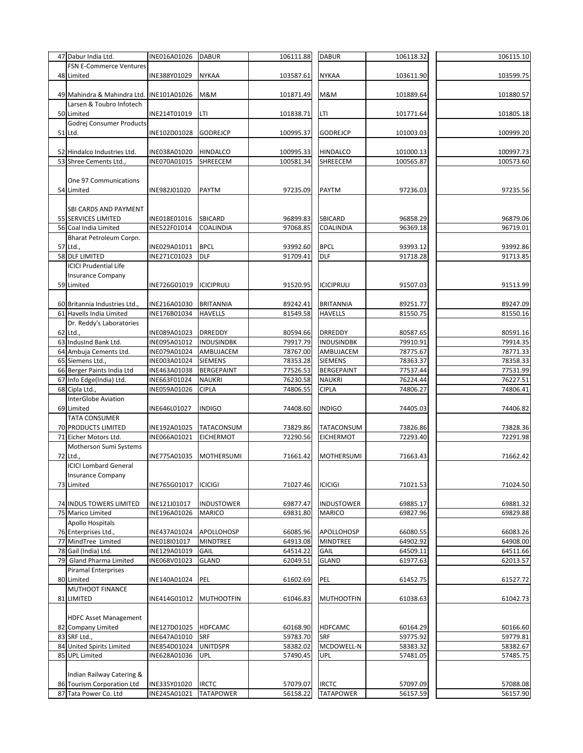| 47 Dabur India Ltd.                      | INE016A01026 | <b>DABUR</b>      | 106111.88 | <b>DABUR</b>      | 106118.32 | 106115.10 |
|------------------------------------------|--------------|-------------------|-----------|-------------------|-----------|-----------|
| <b>FSN E-Commerce Ventures</b>           |              |                   |           |                   |           |           |
| 48 Limited                               | INE388Y01029 | <b>NYKAA</b>      | 103587.61 | <b>NYKAA</b>      | 103611.90 | 103599.75 |
|                                          |              |                   |           |                   |           |           |
| 49 Mahindra & Mahindra Ltd. INE101A01026 |              | M&M               | 101871.49 | M&M               | 101889.64 | 101880.57 |
| Larsen & Toubro Infotech                 |              |                   |           |                   |           |           |
| 50 Limited                               | INE214T01019 | LTI               | 101838.71 | LTI               | 101771.64 | 101805.18 |
| Godrej Consumer Products                 |              |                   |           |                   |           |           |
| 51 Ltd.                                  | INE102D01028 | <b>GODREJCP</b>   | 100995.37 | <b>GODREJCP</b>   | 101003.03 | 100999.20 |
|                                          |              |                   |           |                   |           |           |
| 52 Hindalco Industries Ltd.              | INE038A01020 | <b>HINDALCO</b>   | 100995.33 | <b>HINDALCO</b>   | 101000.13 | 100997.73 |
| 53 Shree Cements Ltd.,                   | INE070A01015 | SHREECEM          | 100581.34 | SHREECEM          | 100565.87 | 100573.60 |
| One 97 Communications                    |              |                   |           |                   |           |           |
| 54 Limited                               | INE982J01020 | <b>PAYTM</b>      | 97235.09  | <b>PAYTM</b>      | 97236.03  | 97235.56  |
|                                          |              |                   |           |                   |           |           |
| SBI CARDS AND PAYMENT                    |              |                   |           |                   |           |           |
| 55 SERVICES LIMITED                      | INE018E01016 | SBICARD           | 96899.83  | <b>SBICARD</b>    | 96858.29  | 96879.06  |
| 56 Coal India Limited                    | INE522F01014 | COALINDIA         | 97068.85  | COALINDIA         | 96369.18  | 96719.01  |
| Bharat Petroleum Corpn.                  |              |                   |           |                   |           |           |
| 57 Ltd.,                                 | INE029A01011 | <b>BPCL</b>       | 93992.60  | <b>BPCL</b>       | 93993.12  | 93992.86  |
| 58 DLF LIMITED                           | INE271C01023 | <b>DLF</b>        | 91709.41  | <b>DLF</b>        | 91718.28  | 91713.85  |
| <b>ICICI Prudential Life</b>             |              |                   |           |                   |           |           |
| <b>Insurance Company</b>                 |              |                   |           |                   |           |           |
| 59 Limited                               | INE726G01019 | <b>ICICIPRULI</b> | 91520.95  | <b>ICICIPRULI</b> | 91507.03  | 91513.99  |
|                                          |              |                   |           |                   |           |           |
| 60 Britannia Industries Ltd.,            | INE216A01030 | <b>BRITANNIA</b>  | 89242.41  | <b>BRITANNIA</b>  | 89251.77  | 89247.09  |
| 61 Havells India Limited                 | INE176B01034 | <b>HAVELLS</b>    | 81549.58  | <b>HAVELLS</b>    | 81550.75  | 81550.16  |
| Dr. Reddy's Laboratories                 |              |                   |           |                   |           |           |
| 62 Ltd.,                                 | INE089A01023 | <b>DRREDDY</b>    | 80594.66  | <b>DRREDDY</b>    | 80587.65  | 80591.16  |
| 63 IndusInd Bank Ltd.                    | INE095A01012 | <b>INDUSINDBK</b> | 79917.79  | <b>INDUSINDBK</b> | 79910.91  | 79914.35  |
| 64 Ambuja Cements Ltd.                   | INE079A01024 | AMBUJACEM         | 78767.00  | AMBUJACEM         | 78775.67  | 78771.33  |
| 65 Siemens Ltd.,                         | INE003A01024 | <b>SIEMENS</b>    | 78353.28  | <b>SIEMENS</b>    | 78363.37  | 78358.33  |
| 66 Berger Paints India Ltd               | INE463A01038 | <b>BERGEPAINT</b> | 77526.53  | <b>BERGEPAINT</b> | 77537.44  | 77531.99  |
| 67 Info Edge(India) Ltd.                 | INE663F01024 | <b>NAUKRI</b>     | 76230.58  | <b>NAUKRI</b>     | 76224.44  | 76227.51  |
| 68 Cipla Ltd.,                           | INE059A01026 | <b>CIPLA</b>      | 74806.55  | <b>CIPLA</b>      | 74806.27  | 74806.41  |
| InterGlobe Aviation                      |              |                   |           |                   |           |           |
| 69 Limited                               | INE646L01027 | <b>INDIGO</b>     | 74408.60  | <b>INDIGO</b>     | 74405.03  | 74406.82  |
| <b>TATA CONSUMER</b>                     |              |                   |           |                   |           |           |
| 70 PRODUCTS LIMITED                      | INE192A01025 | TATACONSUM        | 73829.86  | TATACONSUM        | 73826.86  | 73828.36  |
| 71 Eicher Motors Ltd.                    | INE066A01021 | <b>EICHERMOT</b>  | 72290.56  | <b>EICHERMOT</b>  | 72293.40  | 72291.98  |
| Motherson Sumi Systems                   |              |                   |           |                   |           |           |
| 72 Ltd.                                  | INE775A01035 | MOTHERSUMI        | 71661.42  | <b>MOTHERSUMI</b> | 71663.43  | 71662.42  |
| <b>ICICI Lombard General</b>             |              |                   |           |                   |           |           |
| <b>Insurance Company</b>                 |              |                   |           |                   |           |           |
| 73 Limited                               | INE765G01017 | <b>ICICIGI</b>    | 71027.46  | <b>ICICIGI</b>    | 71021.53  | 71024.50  |
|                                          |              |                   |           |                   |           |           |
| <b>74 INDUS TOWERS LIMITED</b>           | INE121J01017 | <b>INDUSTOWER</b> | 69877.47  | <b>INDUSTOWER</b> | 69885.17  | 69881.32  |
| 75 Marico Limited<br>Apollo Hospitals    | INE196A01026 | MARICO            | 69831.80  | <b>MARICO</b>     | 69827.96  | 69829.88  |
| 76 Enterprises Ltd.,                     | INE437A01024 | APOLLOHOSP        | 66085.96  | <b>APOLLOHOSP</b> | 66080.55  | 66083.26  |
| 77 MindTree Limited                      | INE018I01017 | <b>MINDTREE</b>   | 64913.08  | <b>MINDTREE</b>   | 64902.92  | 64908.00  |
| 78 Gail (India) Ltd.                     | INE129A01019 | GAIL              | 64514.22  | GAIL              | 64509.11  | 64511.66  |
| 79 Gland Pharma Limited                  | INE068V01023 | <b>GLAND</b>      | 62049.51  | <b>GLAND</b>      | 61977.63  | 62013.57  |
| <b>Piramal Enterprises</b>               |              |                   |           |                   |           |           |
| 80 Limited                               | INE140A01024 | PEL               | 61602.69  | PEL               | 61452.75  | 61527.72  |
| <b>MUTHOOT FINANCE</b>                   |              |                   |           |                   |           |           |
| 81 LIMITED                               | INE414G01012 | <b>MUTHOOTFIN</b> | 61046.83  | <b>MUTHOOTFIN</b> | 61038.63  | 61042.73  |
|                                          |              |                   |           |                   |           |           |
| <b>HDFC Asset Management</b>             |              |                   |           |                   |           |           |
| 82 Company Limited                       | INE127D01025 | HDFCAMC           | 60168.90  | <b>HDFCAMC</b>    | 60164.29  | 60166.60  |
| 83 SRF Ltd.,                             | INE647A01010 | SRF               | 59783.70  | SRF               | 59775.92  | 59779.81  |
| 84 United Spirits Limited                | INE854D01024 | <b>UNITDSPR</b>   | 58382.02  | MCDOWELL-N        | 58383.32  | 58382.67  |
| 85 UPL Limited                           | INE628A01036 | UPL               | 57490.45  | UPL               | 57481.05  | 57485.75  |
|                                          |              |                   |           |                   |           |           |
| Indian Railway Catering &                |              |                   |           |                   |           |           |
| 86 Tourism Corporation Ltd               | INE335Y01020 | <b>IRCTC</b>      | 57079.07  | <b>IRCTC</b>      | 57097.09  | 57088.08  |
| 87 Tata Power Co. Ltd                    | INE245A01021 | <b>TATAPOWER</b>  | 56158.22  | <b>TATAPOWER</b>  | 56157.59  | 56157.90  |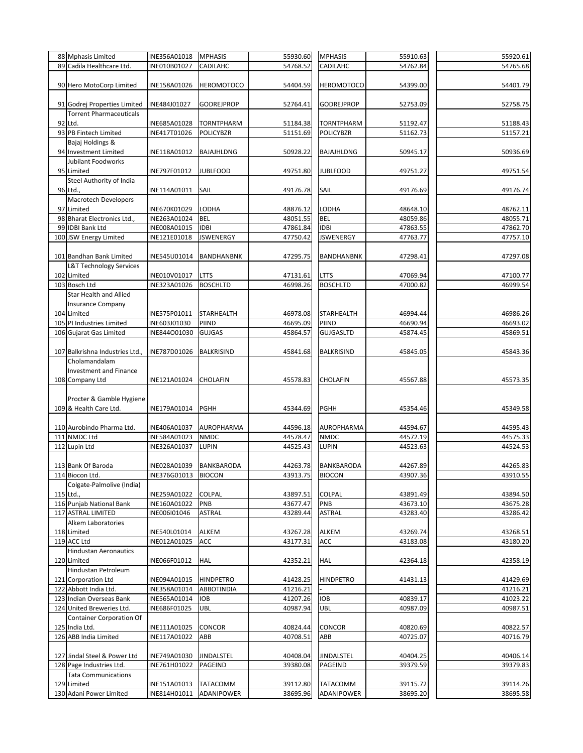|     | 88 Mphasis Limited                           | INE356A01018        | <b>MPHASIS</b>    | 55930.60 | <b>MPHASIS</b>    | 55910.63 | 55920.61 |
|-----|----------------------------------------------|---------------------|-------------------|----------|-------------------|----------|----------|
|     | 89 Cadila Healthcare Ltd.                    | INE010B01027        | <b>CADILAHC</b>   | 54768.52 | CADILAHC          | 54762.84 | 54765.68 |
|     |                                              |                     |                   |          |                   |          |          |
|     | 90 Hero MotoCorp Limited                     | INE158A01026        | <b>HEROMOTOCO</b> | 54404.59 | <b>HEROMOTOCO</b> | 54399.00 | 54401.79 |
|     |                                              |                     |                   |          |                   |          |          |
|     |                                              |                     |                   |          |                   |          |          |
|     | 91 Godrej Properties Limited                 | INE484J01027        | <b>GODREJPROP</b> | 52764.41 | <b>GODREJPROP</b> | 52753.09 | 52758.75 |
|     | <b>Torrent Pharmaceuticals</b>               |                     |                   |          |                   |          |          |
|     | 92 Ltd.                                      | INE685A01028        | <b>TORNTPHARM</b> | 51184.38 | <b>TORNTPHARM</b> | 51192.47 | 51188.43 |
|     | 93 PB Fintech Limited                        | INE417T01026        | <b>POLICYBZR</b>  | 51151.69 | <b>POLICYBZR</b>  | 51162.73 | 51157.21 |
|     | Bajaj Holdings &                             |                     |                   |          |                   |          |          |
|     |                                              |                     |                   |          |                   |          |          |
|     | 94 Investment Limited                        | INE118A01012        | <b>BAJAJHLDNG</b> | 50928.22 | <b>BAJAJHLDNG</b> | 50945.17 | 50936.69 |
|     | <b>Jubilant Foodworks</b>                    |                     |                   |          |                   |          |          |
|     | 95 Limited                                   | INE797F01012        | <b>JUBLFOOD</b>   | 49751.80 | <b>JUBLFOOD</b>   | 49751.27 | 49751.54 |
|     | Steel Authority of India                     |                     |                   |          |                   |          |          |
|     |                                              |                     |                   |          |                   |          |          |
|     | 96 Ltd.,                                     | INE114A01011        | SAIL              | 49176.78 | SAIL              | 49176.69 | 49176.74 |
|     | Macrotech Developers                         |                     |                   |          |                   |          |          |
|     | 97 Limited                                   | INE670K01029        | <b>LODHA</b>      | 48876.12 | LODHA             | 48648.10 | 48762.11 |
|     | 98 Bharat Electronics Ltd.,                  | INE263A01024        | <b>BEL</b>        | 48051.55 | <b>BEL</b>        | 48059.86 | 48055.71 |
|     | 99 IDBI Bank Ltd                             | INE008A01015        | <b>IDBI</b>       | 47861.84 | <b>IDBI</b>       | 47863.55 | 47862.70 |
|     |                                              |                     |                   |          |                   |          |          |
|     | 100 JSW Energy Limited                       | INE121E01018        | <b>JSWENERGY</b>  | 47750.42 | <b>JSWENERGY</b>  | 47763.77 | 47757.10 |
|     |                                              |                     |                   |          |                   |          |          |
|     | 101 Bandhan Bank Limited                     | INE545U01014        | BANDHANBNK        | 47295.75 | <b>BANDHANBNK</b> | 47298.41 | 47297.08 |
|     | <b>L&amp;T Technology Services</b>           |                     |                   |          |                   |          |          |
|     |                                              |                     |                   |          |                   |          |          |
|     | 102 Limited                                  | INE010V01017        | <b>LTTS</b>       | 47131.61 | <b>LTTS</b>       | 47069.94 | 47100.77 |
|     | 103 Bosch Ltd                                | INE323A01026        | <b>BOSCHLTD</b>   | 46998.26 | <b>BOSCHLTD</b>   | 47000.82 | 46999.54 |
|     | <b>Star Health and Allied</b>                |                     |                   |          |                   |          |          |
|     | <b>Insurance Company</b>                     |                     |                   |          |                   |          |          |
|     | 104 Limited                                  | INE575P01011        | <b>STARHEALTH</b> | 46978.08 | <b>STARHEALTH</b> | 46994.44 | 46986.26 |
|     |                                              |                     |                   |          |                   |          |          |
|     | 105 PI Industries Limited                    | INE603J01030        | PIIND             | 46695.09 | PIIND             | 46690.94 | 46693.02 |
|     | 106 Gujarat Gas Limited                      | INE844001030        | <b>GUJGAS</b>     | 45864.57 | <b>GUJGASLTD</b>  | 45874.45 | 45869.51 |
|     |                                              |                     |                   |          |                   |          |          |
|     | 107 Balkrishna Industries Ltd., INE787D01026 |                     | <b>BALKRISIND</b> | 45841.68 | <b>BALKRISIND</b> | 45845.05 | 45843.36 |
|     | Cholamandalam                                |                     |                   |          |                   |          |          |
|     |                                              |                     |                   |          |                   |          |          |
|     | <b>Investment and Finance</b>                |                     |                   |          |                   |          |          |
|     | 108 Company Ltd                              | INE121A01024        | CHOLAFIN          | 45578.83 | <b>CHOLAFIN</b>   | 45567.88 | 45573.35 |
|     |                                              |                     |                   |          |                   |          |          |
|     | Procter & Gamble Hygiene                     |                     |                   |          |                   |          |          |
|     |                                              |                     |                   |          |                   |          |          |
|     | 109 & Health Care Ltd.                       | INE179A01014        | <b>PGHH</b>       | 45344.69 | <b>PGHH</b>       | 45354.46 | 45349.58 |
|     |                                              |                     |                   |          |                   |          |          |
|     | 110 Aurobindo Pharma Ltd.                    | INE406A01037        | AUROPHARMA        | 44596.18 | AUROPHARMA        | 44594.67 | 44595.43 |
|     | 111 NMDC Ltd                                 | INE584A01023        | <b>NMDC</b>       | 44578.47 | <b>NMDC</b>       | 44572.19 | 44575.33 |
|     | 112 Lupin Ltd                                | INE326A01037        | <b>LUPIN</b>      | 44525.43 | <b>LUPIN</b>      | 44523.63 | 44524.53 |
|     |                                              |                     |                   |          |                   |          |          |
|     |                                              |                     |                   |          |                   |          |          |
|     | 113 Bank Of Baroda                           | INE028A01039        | <b>BANKBARODA</b> | 44263.78 | BANKBARODA        | 44267.89 | 44265.83 |
|     | 114 Biocon Ltd.                              | INE376G01013 BIOCON |                   | 43913.75 | <b>BIOCON</b>     | 43907.36 | 43910.55 |
|     | Colgate-Palmolive (India)                    |                     |                   |          |                   |          |          |
|     |                                              |                     |                   |          |                   |          |          |
|     | 115 Ltd.,                                    | INE259A01022        | COLPAL            | 43897.51 | COLPAL            | 43891.49 | 43894.50 |
|     | 116 Punjab National Bank                     | INE160A01022        | PNB               | 43677.47 | PNB               | 43673.10 | 43675.28 |
|     | 117 ASTRAL LIMITED                           | INE006I01046        | ASTRAL            | 43289.44 | ASTRAL            | 43283.40 | 43286.42 |
|     | Alkem Laboratories                           |                     |                   |          |                   |          |          |
|     | 118 Limited                                  | INE540L01014        | ALKEM             | 43267.28 | ALKEM             | 43269.74 | 43268.51 |
|     |                                              |                     |                   |          |                   |          |          |
|     | 119 ACC Ltd                                  | INE012A01025        | ACC               | 43177.31 | ACC               | 43183.08 | 43180.20 |
|     | <b>Hindustan Aeronautics</b>                 |                     |                   |          |                   |          |          |
|     | 120 Limited                                  | INE066F01012        | HAL               | 42352.21 | HAL               | 42364.18 | 42358.19 |
|     | Hindustan Petroleum                          |                     |                   |          |                   |          |          |
|     |                                              |                     |                   |          |                   |          |          |
|     | 121 Corporation Ltd                          | INE094A01015        | <b>HINDPETRO</b>  | 41428.25 | <b>HINDPETRO</b>  | 41431.13 | 41429.69 |
| 122 | Abbott India Ltd.                            | INE358A01014        | ABBOTINDIA        | 41216.21 |                   |          | 41216.21 |
|     | 123 Indian Overseas Bank                     | INE565A01014        | IOB               | 41207.26 | IOB               | 40839.17 | 41023.22 |
|     | 124 United Breweries Ltd.                    | INE686F01025        | UBL               | 40987.94 | UBL               | 40987.09 | 40987.51 |
|     | <b>Container Corporation Of</b>              |                     |                   |          |                   |          |          |
|     |                                              |                     |                   |          |                   |          |          |
|     | 125 India Ltd.                               | INE111A01025        | CONCOR            | 40824.44 | CONCOR            | 40820.69 | 40822.57 |
|     | 126 ABB India Limited                        | INE117A01022        | ABB               | 40708.51 | ABB               | 40725.07 | 40716.79 |
|     |                                              |                     |                   |          |                   |          |          |
|     | 127 Jindal Steel & Power Ltd                 | INE749A01030        | JINDALSTEL        | 40408.04 | JINDALSTEL        | 40404.25 | 40406.14 |
|     |                                              |                     |                   |          |                   |          |          |
|     | 128 Page Industries Ltd.                     | INE761H01022        | PAGEIND           | 39380.08 | <b>PAGEIND</b>    | 39379.59 | 39379.83 |
|     | <b>Tata Communications</b>                   |                     |                   |          |                   |          |          |
|     | 129 Limited                                  | INE151A01013        | TATACOMM          | 39112.80 | TATACOMM          | 39115.72 | 39114.26 |
|     | 130 Adani Power Limited                      | INE814H01011        | ADANIPOWER        | 38695.96 | ADANIPOWER        | 38695.20 | 38695.58 |
|     |                                              |                     |                   |          |                   |          |          |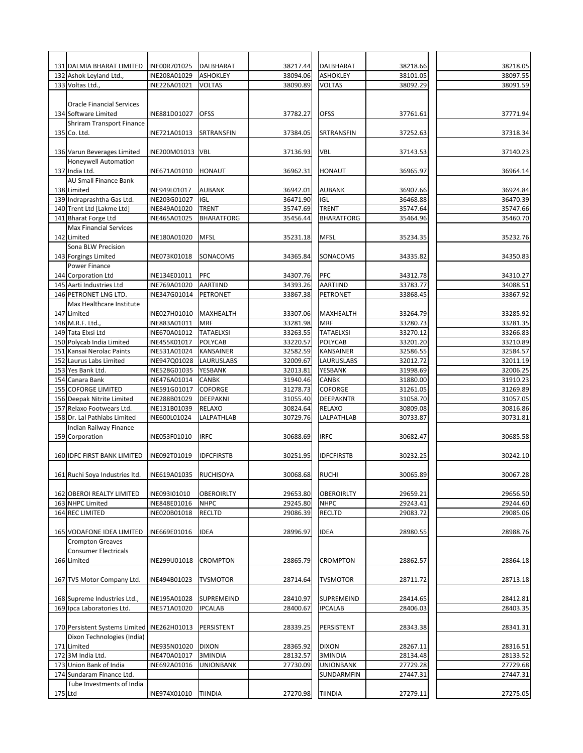|         | 131 DALMIA BHARAT LIMITED                                  | INE00R701025 | DALBHARAT                    | 38217.44             | DALBHARAT                    | 38218.66             | 38218.05             |
|---------|------------------------------------------------------------|--------------|------------------------------|----------------------|------------------------------|----------------------|----------------------|
|         | 132 Ashok Leyland Ltd.,                                    | INE208A01029 | <b>ASHOKLEY</b>              | 38094.06             | <b>ASHOKLEY</b>              | 38101.05             | 38097.55             |
|         | 133 Voltas Ltd.,                                           | INE226A01021 | <b>VOLTAS</b>                | 38090.89             | <b>VOLTAS</b>                | 38092.29             | 38091.59             |
|         | <b>Oracle Financial Services</b>                           |              |                              |                      |                              |                      |                      |
|         | 134 Software Limited                                       | INE881D01027 | <b>OFSS</b>                  | 37782.27             | <b>OFSS</b>                  | 37761.61             | 37771.94             |
|         | Shriram Transport Finance                                  |              |                              |                      |                              |                      |                      |
|         | 135 Co. Ltd.                                               | INE721A01013 | SRTRANSFIN                   | 37384.05             | SRTRANSFIN                   | 37252.63             | 37318.34             |
|         |                                                            |              |                              |                      |                              |                      |                      |
|         | 136 Varun Beverages Limited                                | INE200M01013 | <b>VBL</b>                   | 37136.93             | VBL                          | 37143.53             | 37140.23             |
|         | <b>Honeywell Automation</b>                                |              |                              |                      |                              |                      |                      |
|         | 137 India Ltd.                                             | INE671A01010 | HONAUT                       | 36962.31             | HONAUT                       | 36965.97             | 36964.14             |
|         | AU Small Finance Bank                                      |              |                              |                      |                              |                      |                      |
|         | 138 Limited                                                | INE949L01017 | <b>AUBANK</b>                | 36942.01             | <b>AUBANK</b>                | 36907.66             | 36924.84             |
|         | 139 Indraprashtha Gas Ltd.                                 | INE203G01027 | IGL                          | 36471.90             | IGL                          | 36468.88             | 36470.39             |
|         | 140 Trent Ltd [Lakme Ltd]<br>141 Bharat Forge Ltd          | INE849A01020 | <b>TRENT</b>                 | 35747.69             | <b>TRENT</b>                 | 35747.64             | 35747.66             |
|         | <b>Max Financial Services</b>                              | INE465A01025 | <b>BHARATFORG</b>            | 35456.44             | <b>BHARATFORG</b>            | 35464.96             | 35460.70             |
|         | 142 Limited                                                | INE180A01020 | <b>MFSL</b>                  | 35231.18             | <b>MFSL</b>                  | 35234.35             | 35232.76             |
|         | Sona BLW Precision                                         |              |                              |                      |                              |                      |                      |
|         | 143 Forgings Limited                                       | INE073K01018 | SONACOMS                     | 34365.84             | SONACOMS                     | 34335.82             | 34350.83             |
|         | Power Finance                                              |              |                              |                      |                              |                      |                      |
|         | 144 Corporation Ltd                                        | INE134E01011 | PFC                          | 34307.76             | PFC                          | 34312.78             | 34310.27             |
|         | 145 Aarti Industries Ltd                                   | INE769A01020 | <b>AARTIIND</b>              | 34393.26             | AARTIIND                     | 33783.77             | 34088.51             |
|         | 146 PETRONET LNG LTD.                                      | INE347G01014 | PETRONET                     | 33867.38             | PETRONET                     | 33868.45             | 33867.92             |
|         | Max Healthcare Institute                                   |              |                              |                      |                              |                      |                      |
|         | 147 Limited                                                | INE027H01010 | MAXHEALTH                    | 33307.06             | MAXHEALTH                    | 33264.79             | 33285.92             |
|         | 148 M.R.F. Ltd.,                                           | INE883A01011 | <b>MRF</b>                   | 33281.98             | <b>MRF</b>                   | 33280.73             | 33281.35             |
|         | 149 Tata Elxsi Ltd                                         | INE670A01012 | <b>TATAELXSI</b>             | 33263.55             | <b>TATAELXSI</b>             | 33270.12             | 33266.83             |
|         | 150 Polycab India Limited                                  | INE455K01017 | POLYCAB                      | 33220.57             | <b>POLYCAB</b>               | 33201.20             | 33210.89             |
| 151     | Kansai Nerolac Paints                                      | INE531A01024 | KANSAINER                    | 32582.59             | KANSAINER                    | 32586.55             | 32584.57             |
|         | 152 Laurus Labs Limited                                    | INE947Q01028 | <b>LAURUSLABS</b>            | 32009.67             | LAURUSLABS                   | 32012.72             | 32011.19             |
|         | 153 Yes Bank Ltd.                                          | INE528G01035 | YESBANK                      | 32013.81             | YESBANK                      | 31998.69             | 32006.25             |
| 154     | Canara Bank                                                | INE476A01014 | <b>CANBK</b>                 | 31940.46             | CANBK                        | 31880.00             | 31910.23             |
|         | <b>155 COFORGE LIMITED</b>                                 | INE591G01017 | <b>COFORGE</b>               | 31278.73             | COFORGE                      | 31261.05             | 31269.89             |
|         | 156 Deepak Nitrite Limited                                 | INE288B01029 | DEEPAKNI                     | 31055.40             | <b>DEEPAKNTR</b>             | 31058.70             | 31057.05             |
| 157     | Relaxo Footwears Ltd.                                      | INE131B01039 | RELAXO                       | 30824.64<br>30729.76 | RELAXO<br>LALPATHLAB         | 30809.08             | 30816.86<br>30731.81 |
|         | 158 Dr. Lal Pathlabs Limited<br>Indian Railway Finance     | INE600L01024 | LALPATHLAB                   |                      |                              | 30733.87             |                      |
|         | 159 Corporation                                            | INE053F01010 | <b>IRFC</b>                  | 30688.69             | <b>IRFC</b>                  | 30682.47             | 30685.58             |
|         |                                                            |              |                              |                      |                              |                      |                      |
|         | 160 IDFC FIRST BANK LIMITED                                | INE092T01019 | <b>IDFCFIRSTB</b>            | 30251.95             | <b>IDFCFIRSTB</b>            | 30232.25             | 30242.10             |
|         |                                                            |              |                              |                      |                              |                      |                      |
|         | 161 Ruchi Soya Industries Itd.                             | INE619A01035 | <b>RUCHISOYA</b>             | 30068.68 RUCHI       |                              | 30065.89             | 30067.28             |
|         |                                                            |              |                              |                      |                              |                      |                      |
|         | 162 OBEROI REALTY LIMITED                                  | INE093I01010 | <b>OBEROIRLTY</b>            | 29653.80             | OBEROIRLTY                   | 29659.21             | 29656.50             |
|         | 163 NHPC Limited                                           | INE848E01016 | <b>NHPC</b>                  | 29245.80             | <b>NHPC</b>                  | 29243.41             | 29244.60             |
|         | 164 REC LIMITED                                            | INE020B01018 | <b>RECLTD</b>                | 29086.39             | <b>RECLTD</b>                | 29083.72             | 29085.06             |
|         |                                                            |              |                              |                      |                              |                      |                      |
|         | 165 VODAFONE IDEA LIMITED                                  | INE669E01016 | <b>IDEA</b>                  | 28996.97             | <b>IDEA</b>                  | 28980.55             | 28988.76             |
|         | <b>Crompton Greaves</b>                                    |              |                              |                      |                              |                      |                      |
|         | <b>Consumer Electricals</b>                                |              |                              |                      |                              |                      |                      |
|         | 166 Limited                                                | INE299U01018 | CROMPTON                     | 28865.79             | CROMPTON                     | 28862.57             | 28864.18             |
|         |                                                            |              |                              |                      |                              |                      |                      |
|         | 167 TVS Motor Company Ltd.                                 | INE494B01023 | TVSMOTOR                     | 28714.64             | <b>TVSMOTOR</b>              | 28711.72             | 28713.18             |
|         |                                                            | INE195A01028 |                              |                      |                              |                      |                      |
|         | 168 Supreme Industries Ltd.,<br>169 Ipca Laboratories Ltd. | INE571A01020 | SUPREMEIND<br><b>IPCALAB</b> | 28410.97<br>28400.67 | SUPREMEIND<br><b>IPCALAB</b> | 28414.65<br>28406.03 | 28412.81<br>28403.35 |
|         |                                                            |              |                              |                      |                              |                      |                      |
|         | 170 Persistent Systems Limited INE262H01013                |              | PERSISTENT                   | 28339.25             | PERSISTENT                   | 28343.38             | 28341.31             |
|         | Dixon Technologies (India)                                 |              |                              |                      |                              |                      |                      |
|         | 171 Limited                                                | INE935N01020 | <b>DIXON</b>                 | 28365.92             | <b>DIXON</b>                 | 28267.11             | 28316.51             |
|         | 172 3M India Ltd.                                          | INE470A01017 | 3MINDIA                      | 28132.57             | 3MINDIA                      | 28134.48             | 28133.52             |
|         | 173 Union Bank of India                                    | INE692A01016 | <b>UNIONBANK</b>             | 27730.09             | UNIONBANK                    | 27729.28             | 27729.68             |
|         | 174 Sundaram Finance Ltd.                                  |              |                              |                      | SUNDARMFIN                   | 27447.31             | 27447.31             |
|         | Tube Investments of India                                  |              |                              |                      |                              |                      |                      |
| 175 Ltd |                                                            | INE974X01010 | TIINDIA                      | 27270.98             | <b>TIINDIA</b>               | 27279.11             | 27275.05             |